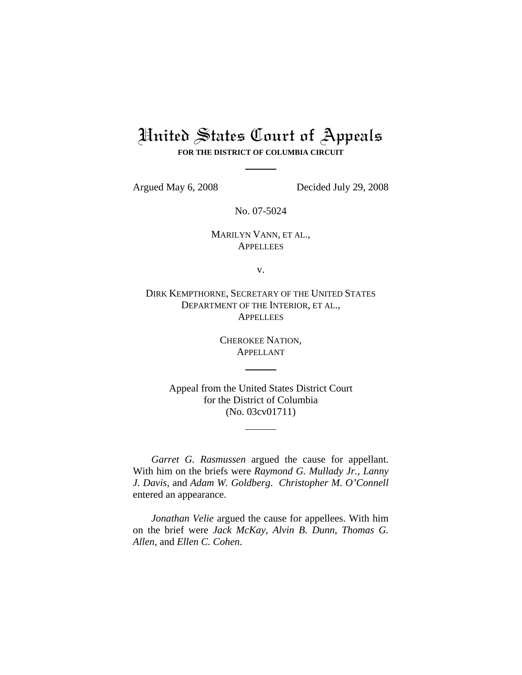# United States Court of Appeals

**FOR THE DISTRICT OF COLUMBIA CIRCUIT**

Argued May 6, 2008 Decided July 29, 2008

No. 07-5024

# MARILYN VANN, ET AL., **APPELLEES**

v.

DIRK KEMPTHORNE, SECRETARY OF THE UNITED STATES DEPARTMENT OF THE INTERIOR, ET AL., **APPELLEES** 

> CHEROKEE NATION, APPELLANT

Appeal from the United States District Court for the District of Columbia (No. 03cv01711)

*Garret G. Rasmussen* argued the cause for appellant. With him on the briefs were *Raymond G. Mullady Jr.*, *Lanny J. Davis*, and *Adam W. Goldberg*. *Christopher M. O'Connell* entered an appearance.

*Jonathan Velie* argued the cause for appellees. With him on the brief were *Jack McKay*, *Alvin B. Dunn*, *Thomas G. Allen*, and *Ellen C. Cohen*.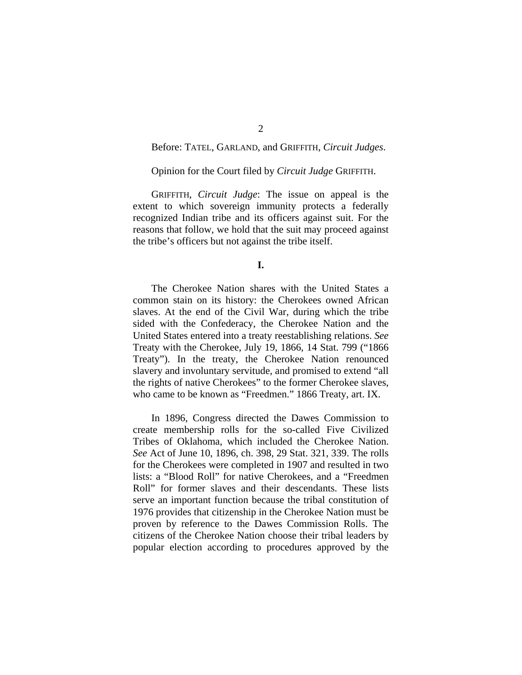# Before: TATEL, GARLAND, and GRIFFITH, *Circuit Judges*.

### Opinion for the Court filed by *Circuit Judge* GRIFFITH.

GRIFFITH, *Circuit Judge*: The issue on appeal is the extent to which sovereign immunity protects a federally recognized Indian tribe and its officers against suit. For the reasons that follow, we hold that the suit may proceed against the tribe's officers but not against the tribe itself.

#### **I.**

The Cherokee Nation shares with the United States a common stain on its history: the Cherokees owned African slaves. At the end of the Civil War, during which the tribe sided with the Confederacy, the Cherokee Nation and the United States entered into a treaty reestablishing relations. *See*  Treaty with the Cherokee, July 19, 1866, 14 Stat. 799 ("1866 Treaty"). In the treaty, the Cherokee Nation renounced slavery and involuntary servitude, and promised to extend "all the rights of native Cherokees" to the former Cherokee slaves, who came to be known as "Freedmen." 1866 Treaty, art. IX.

In 1896, Congress directed the Dawes Commission to create membership rolls for the so-called Five Civilized Tribes of Oklahoma, which included the Cherokee Nation. *See* Act of June 10, 1896, ch. 398, 29 Stat. 321, 339. The rolls for the Cherokees were completed in 1907 and resulted in two lists: a "Blood Roll" for native Cherokees, and a "Freedmen Roll" for former slaves and their descendants. These lists serve an important function because the tribal constitution of 1976 provides that citizenship in the Cherokee Nation must be proven by reference to the Dawes Commission Rolls. The citizens of the Cherokee Nation choose their tribal leaders by popular election according to procedures approved by the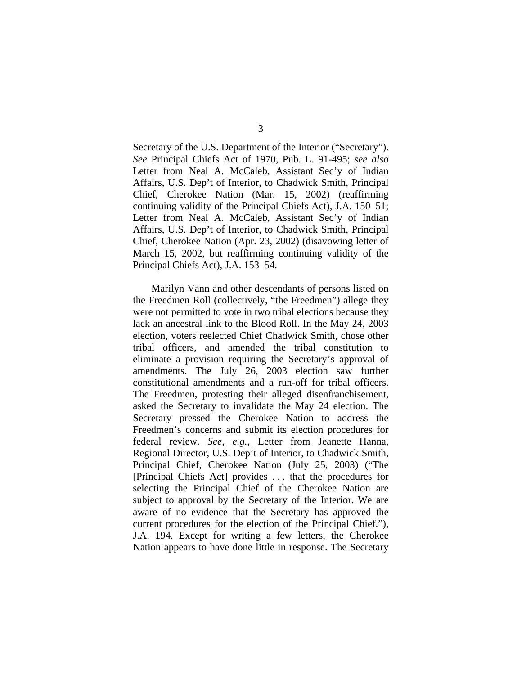Secretary of the U.S. Department of the Interior ("Secretary"). *See* Principal Chiefs Act of 1970, Pub. L. 91-495; *see also*  Letter from Neal A. McCaleb, Assistant Sec'y of Indian Affairs, U.S. Dep't of Interior, to Chadwick Smith, Principal Chief, Cherokee Nation (Mar. 15, 2002) (reaffirming continuing validity of the Principal Chiefs Act), J.A. 150–51; Letter from Neal A. McCaleb, Assistant Sec'y of Indian Affairs, U.S. Dep't of Interior, to Chadwick Smith, Principal Chief, Cherokee Nation (Apr. 23, 2002) (disavowing letter of March 15, 2002, but reaffirming continuing validity of the Principal Chiefs Act), J.A. 153–54.

Marilyn Vann and other descendants of persons listed on the Freedmen Roll (collectively, "the Freedmen") allege they were not permitted to vote in two tribal elections because they lack an ancestral link to the Blood Roll. In the May 24, 2003 election, voters reelected Chief Chadwick Smith, chose other tribal officers, and amended the tribal constitution to eliminate a provision requiring the Secretary's approval of amendments. The July 26, 2003 election saw further constitutional amendments and a run-off for tribal officers. The Freedmen, protesting their alleged disenfranchisement, asked the Secretary to invalidate the May 24 election. The Secretary pressed the Cherokee Nation to address the Freedmen's concerns and submit its election procedures for federal review. *See, e.g.*, Letter from Jeanette Hanna, Regional Director, U.S. Dep't of Interior, to Chadwick Smith, Principal Chief, Cherokee Nation (July 25, 2003) ("The [Principal Chiefs Act] provides . . . that the procedures for selecting the Principal Chief of the Cherokee Nation are subject to approval by the Secretary of the Interior. We are aware of no evidence that the Secretary has approved the current procedures for the election of the Principal Chief."), J.A. 194. Except for writing a few letters, the Cherokee Nation appears to have done little in response. The Secretary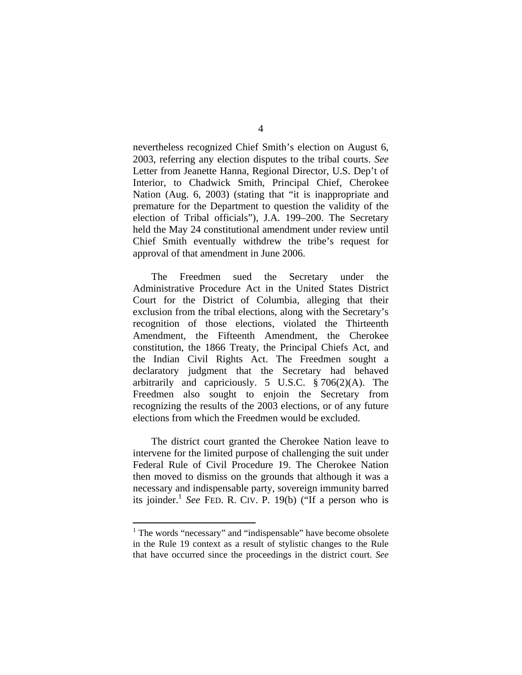nevertheless recognized Chief Smith's election on August 6, 2003, referring any election disputes to the tribal courts. *See* Letter from Jeanette Hanna, Regional Director, U.S. Dep't of Interior, to Chadwick Smith, Principal Chief, Cherokee Nation (Aug. 6, 2003) (stating that "it is inappropriate and premature for the Department to question the validity of the election of Tribal officials"), J.A. 199–200. The Secretary held the May 24 constitutional amendment under review until Chief Smith eventually withdrew the tribe's request for approval of that amendment in June 2006.

The Freedmen sued the Secretary under the Administrative Procedure Act in the United States District Court for the District of Columbia, alleging that their exclusion from the tribal elections, along with the Secretary's recognition of those elections, violated the Thirteenth Amendment, the Fifteenth Amendment, the Cherokee constitution, the 1866 Treaty, the Principal Chiefs Act, and the Indian Civil Rights Act. The Freedmen sought a declaratory judgment that the Secretary had behaved arbitrarily and capriciously. 5 U.S.C.  $\S 706(2)(A)$ . The Freedmen also sought to enjoin the Secretary from recognizing the results of the 2003 elections, or of any future elections from which the Freedmen would be excluded.

The district court granted the Cherokee Nation leave to intervene for the limited purpose of challenging the suit under Federal Rule of Civil Procedure 19. The Cherokee Nation then moved to dismiss on the grounds that although it was a necessary and indispensable party, sovereign immunity barred its joinder.<sup>1</sup> *See* FED. R. CIV. P. 19(b) ("If a person who is

 $\overline{a}$ 

<sup>&</sup>lt;sup>1</sup> The words "necessary" and "indispensable" have become obsolete in the Rule 19 context as a result of stylistic changes to the Rule that have occurred since the proceedings in the district court. *See*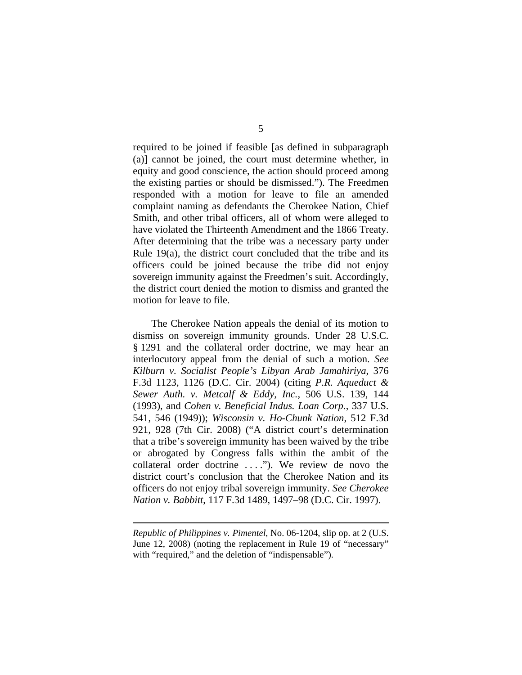required to be joined if feasible [as defined in subparagraph (a)] cannot be joined, the court must determine whether, in equity and good conscience, the action should proceed among the existing parties or should be dismissed."). The Freedmen responded with a motion for leave to file an amended complaint naming as defendants the Cherokee Nation, Chief Smith, and other tribal officers, all of whom were alleged to have violated the Thirteenth Amendment and the 1866 Treaty. After determining that the tribe was a necessary party under Rule 19(a), the district court concluded that the tribe and its officers could be joined because the tribe did not enjoy sovereign immunity against the Freedmen's suit. Accordingly, the district court denied the motion to dismiss and granted the motion for leave to file.

The Cherokee Nation appeals the denial of its motion to dismiss on sovereign immunity grounds. Under 28 U.S.C. § 1291 and the collateral order doctrine, we may hear an interlocutory appeal from the denial of such a motion. *See Kilburn v. Socialist People's Libyan Arab Jamahiriya*, 376 F.3d 1123, 1126 (D.C. Cir. 2004) (citing *P.R. Aqueduct & Sewer Auth. v. Metcalf & Eddy, Inc.*, 506 U.S. 139, 144 (1993), and *Cohen v. Beneficial Indus. Loan Corp.*, 337 U.S. 541, 546 (1949)); *Wisconsin v. Ho-Chunk Nation*, 512 F.3d 921, 928 (7th Cir. 2008) ("A district court's determination that a tribe's sovereign immunity has been waived by the tribe or abrogated by Congress falls within the ambit of the collateral order doctrine . . . ."). We review de novo the district court's conclusion that the Cherokee Nation and its officers do not enjoy tribal sovereign immunity. *See Cherokee Nation v. Babbitt*, 117 F.3d 1489, 1497–98 (D.C. Cir. 1997).

 $\overline{a}$ 

*Republic of Philippines v. Pimentel*, No. 06-1204, slip op. at 2 (U.S. June 12, 2008) (noting the replacement in Rule 19 of "necessary" with "required," and the deletion of "indispensable").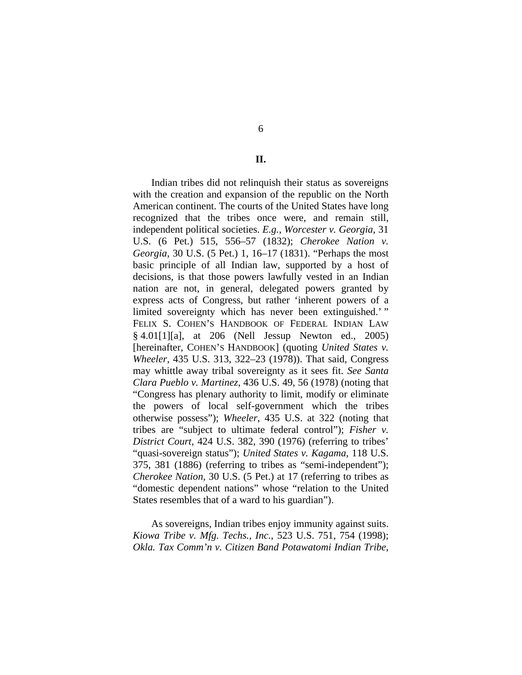6

**II.** 

Indian tribes did not relinquish their status as sovereigns with the creation and expansion of the republic on the North American continent. The courts of the United States have long recognized that the tribes once were, and remain still, independent political societies. *E.g.*, *Worcester v. Georgia*, 31 U.S. (6 Pet.) 515, 556–57 (1832); *Cherokee Nation v. Georgia*, 30 U.S. (5 Pet.) 1, 16–17 (1831). "Perhaps the most basic principle of all Indian law, supported by a host of decisions, is that those powers lawfully vested in an Indian nation are not, in general, delegated powers granted by express acts of Congress, but rather 'inherent powers of a limited sovereignty which has never been extinguished.' " FELIX S. COHEN'S HANDBOOK OF FEDERAL INDIAN LAW § 4.01[1][a], at 206 (Nell Jessup Newton ed., 2005) [hereinafter, COHEN'S HANDBOOK] (quoting *United States v. Wheeler*, 435 U.S. 313, 322–23 (1978)). That said, Congress may whittle away tribal sovereignty as it sees fit. *See Santa Clara Pueblo v. Martinez*, 436 U.S. 49, 56 (1978) (noting that "Congress has plenary authority to limit, modify or eliminate the powers of local self-government which the tribes otherwise possess"); *Wheeler*, 435 U.S. at 322 (noting that tribes are "subject to ultimate federal control"); *Fisher v. District Court*, 424 U.S. 382, 390 (1976) (referring to tribes' "quasi-sovereign status"); *United States v. Kagama*, 118 U.S. 375, 381 (1886) (referring to tribes as "semi-independent"); *Cherokee Nation*, 30 U.S. (5 Pet.) at 17 (referring to tribes as "domestic dependent nations" whose "relation to the United States resembles that of a ward to his guardian").

As sovereigns, Indian tribes enjoy immunity against suits. *Kiowa Tribe v. Mfg. Techs., Inc.*, 523 U.S. 751, 754 (1998); *Okla. Tax Comm'n v. Citizen Band Potawatomi Indian Tribe*,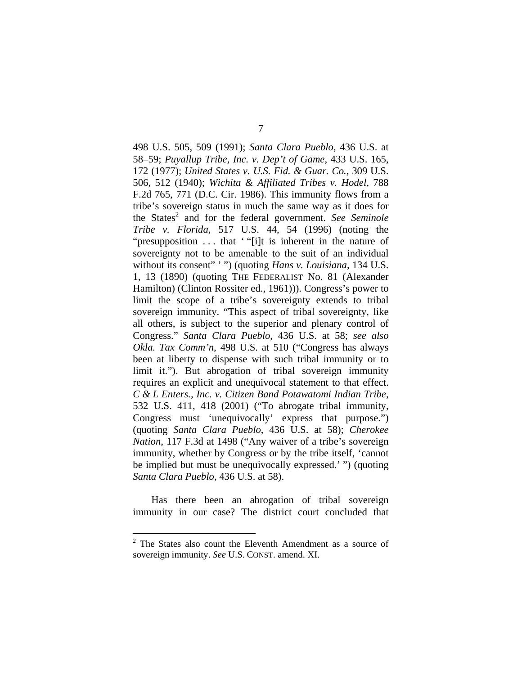498 U.S. 505, 509 (1991); *Santa Clara Pueblo*, 436 U.S. at 58–59; *Puyallup Tribe, Inc. v. Dep't of Game*, 433 U.S. 165, 172 (1977); *United States v. U.S. Fid. & Guar. Co.*, 309 U.S. 506, 512 (1940); *Wichita & Affiliated Tribes v. Hodel*, 788 F.2d 765, 771 (D.C. Cir. 1986). This immunity flows from a tribe's sovereign status in much the same way as it does for the States<sup>2</sup> and for the federal government. See Seminole *Tribe v. Florida*, 517 U.S. 44, 54 (1996) (noting the "presupposition . . . that ' "[i]t is inherent in the nature of sovereignty not to be amenable to the suit of an individual without its consent" '") (quoting *Hans v. Louisiana*, 134 U.S. 1, 13 (1890) (quoting THE FEDERALIST No. 81 (Alexander Hamilton) (Clinton Rossiter ed., 1961))). Congress's power to limit the scope of a tribe's sovereignty extends to tribal sovereign immunity. "This aspect of tribal sovereignty, like all others, is subject to the superior and plenary control of Congress." *Santa Clara Pueblo*, 436 U.S. at 58; *see also Okla. Tax Comm'n*, 498 U.S. at 510 ("Congress has always been at liberty to dispense with such tribal immunity or to limit it."). But abrogation of tribal sovereign immunity requires an explicit and unequivocal statement to that effect. *C & L Enters., Inc. v. Citizen Band Potawatomi Indian Tribe*, 532 U.S. 411, 418 (2001) ("To abrogate tribal immunity, Congress must 'unequivocally' express that purpose.") (quoting *Santa Clara Pueblo*, 436 U.S. at 58); *Cherokee Nation*, 117 F.3d at 1498 ("Any waiver of a tribe's sovereign immunity, whether by Congress or by the tribe itself, 'cannot be implied but must be unequivocally expressed.' ") (quoting *Santa Clara Pueblo*, 436 U.S. at 58).

Has there been an abrogation of tribal sovereign immunity in our case? The district court concluded that

 $\overline{a}$ 

 $2$  The States also count the Eleventh Amendment as a source of sovereign immunity. *See* U.S. CONST. amend. XI.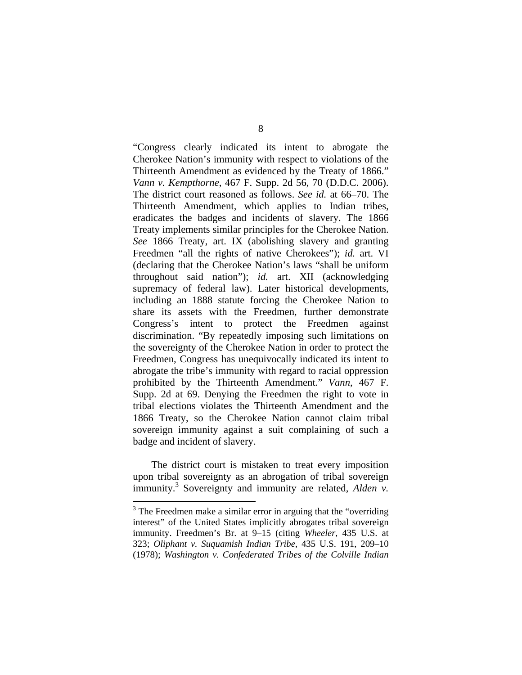"Congress clearly indicated its intent to abrogate the Cherokee Nation's immunity with respect to violations of the Thirteenth Amendment as evidenced by the Treaty of 1866." *Vann v. Kempthorne*, 467 F. Supp. 2d 56, 70 (D.D.C. 2006). The district court reasoned as follows. *See id.* at 66–70. The Thirteenth Amendment, which applies to Indian tribes, eradicates the badges and incidents of slavery. The 1866 Treaty implements similar principles for the Cherokee Nation. *See* 1866 Treaty, art. IX (abolishing slavery and granting Freedmen "all the rights of native Cherokees"); *id.* art. VI (declaring that the Cherokee Nation's laws "shall be uniform throughout said nation"); *id.* art. XII (acknowledging supremacy of federal law). Later historical developments, including an 1888 statute forcing the Cherokee Nation to share its assets with the Freedmen, further demonstrate Congress's intent to protect the Freedmen against discrimination. "By repeatedly imposing such limitations on the sovereignty of the Cherokee Nation in order to protect the Freedmen, Congress has unequivocally indicated its intent to abrogate the tribe's immunity with regard to racial oppression prohibited by the Thirteenth Amendment." *Vann*, 467 F. Supp. 2d at 69. Denying the Freedmen the right to vote in tribal elections violates the Thirteenth Amendment and the 1866 Treaty, so the Cherokee Nation cannot claim tribal sovereign immunity against a suit complaining of such a badge and incident of slavery.

The district court is mistaken to treat every imposition upon tribal sovereignty as an abrogation of tribal sovereign immunity.3 Sovereignty and immunity are related, *Alden v.* 

<u>.</u>

 $3$  The Freedmen make a similar error in arguing that the "overriding" interest" of the United States implicitly abrogates tribal sovereign immunity. Freedmen's Br. at 9–15 (citing *Wheeler*, 435 U.S. at 323; *Oliphant v. Suquamish Indian Tribe*, 435 U.S. 191, 209–10 (1978); *Washington v. Confederated Tribes of the Colville Indian*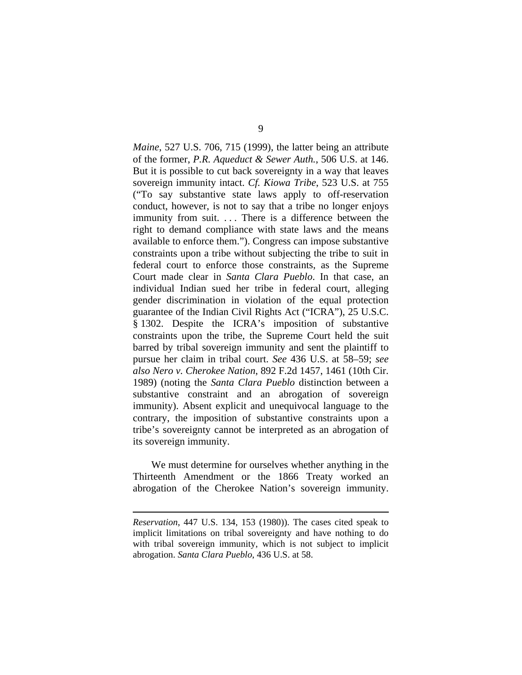*Maine*, 527 U.S. 706, 715 (1999), the latter being an attribute of the former, *P.R. Aqueduct & Sewer Auth.*, 506 U.S. at 146. But it is possible to cut back sovereignty in a way that leaves sovereign immunity intact. *Cf. Kiowa Tribe*, 523 U.S. at 755 ("To say substantive state laws apply to off-reservation conduct, however, is not to say that a tribe no longer enjoys immunity from suit. . . . There is a difference between the right to demand compliance with state laws and the means available to enforce them."). Congress can impose substantive constraints upon a tribe without subjecting the tribe to suit in federal court to enforce those constraints, as the Supreme Court made clear in *Santa Clara Pueblo*. In that case, an individual Indian sued her tribe in federal court, alleging gender discrimination in violation of the equal protection guarantee of the Indian Civil Rights Act ("ICRA"), 25 U.S.C. § 1302. Despite the ICRA's imposition of substantive constraints upon the tribe, the Supreme Court held the suit barred by tribal sovereign immunity and sent the plaintiff to pursue her claim in tribal court. *See* 436 U.S. at 58–59; *see also Nero v. Cherokee Nation*, 892 F.2d 1457, 1461 (10th Cir. 1989) (noting the *Santa Clara Pueblo* distinction between a substantive constraint and an abrogation of sovereign immunity). Absent explicit and unequivocal language to the contrary, the imposition of substantive constraints upon a tribe's sovereignty cannot be interpreted as an abrogation of its sovereign immunity.

We must determine for ourselves whether anything in the Thirteenth Amendment or the 1866 Treaty worked an abrogation of the Cherokee Nation's sovereign immunity.

 $\overline{a}$ 

*Reservation*, 447 U.S. 134, 153 (1980)). The cases cited speak to implicit limitations on tribal sovereignty and have nothing to do with tribal sovereign immunity, which is not subject to implicit abrogation. *Santa Clara Pueblo*, 436 U.S. at 58.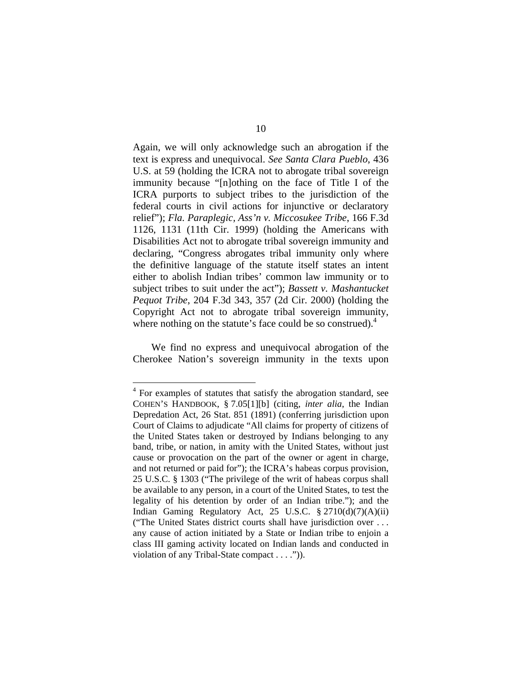Again, we will only acknowledge such an abrogation if the text is express and unequivocal. *See Santa Clara Pueblo*, 436 U.S. at 59 (holding the ICRA not to abrogate tribal sovereign immunity because "[n]othing on the face of Title I of the ICRA purports to subject tribes to the jurisdiction of the federal courts in civil actions for injunctive or declaratory relief"); *Fla. Paraplegic, Ass'n v. Miccosukee Tribe*, 166 F.3d 1126, 1131 (11th Cir. 1999) (holding the Americans with Disabilities Act not to abrogate tribal sovereign immunity and declaring, "Congress abrogates tribal immunity only where the definitive language of the statute itself states an intent either to abolish Indian tribes' common law immunity or to subject tribes to suit under the act"); *Bassett v. Mashantucket Pequot Tribe*, 204 F.3d 343, 357 (2d Cir. 2000) (holding the Copyright Act not to abrogate tribal sovereign immunity, where nothing on the statute's face could be so construed).<sup>4</sup>

We find no express and unequivocal abrogation of the Cherokee Nation's sovereign immunity in the texts upon

<u>.</u>

<sup>&</sup>lt;sup>4</sup> For examples of statutes that satisfy the abrogation standard, see COHEN'S HANDBOOK, § 7.05[1][b] (citing, *inter alia*, the Indian Depredation Act, 26 Stat. 851 (1891) (conferring jurisdiction upon Court of Claims to adjudicate "All claims for property of citizens of the United States taken or destroyed by Indians belonging to any band, tribe, or nation, in amity with the United States, without just cause or provocation on the part of the owner or agent in charge, and not returned or paid for"); the ICRA's habeas corpus provision, 25 U.S.C. § 1303 ("The privilege of the writ of habeas corpus shall be available to any person, in a court of the United States, to test the legality of his detention by order of an Indian tribe."); and the Indian Gaming Regulatory Act, 25 U.S.C.  $\S 2710(d)(7)(A)(ii)$ ("The United States district courts shall have jurisdiction over . . . any cause of action initiated by a State or Indian tribe to enjoin a class III gaming activity located on Indian lands and conducted in violation of any Tribal-State compact . . . .")).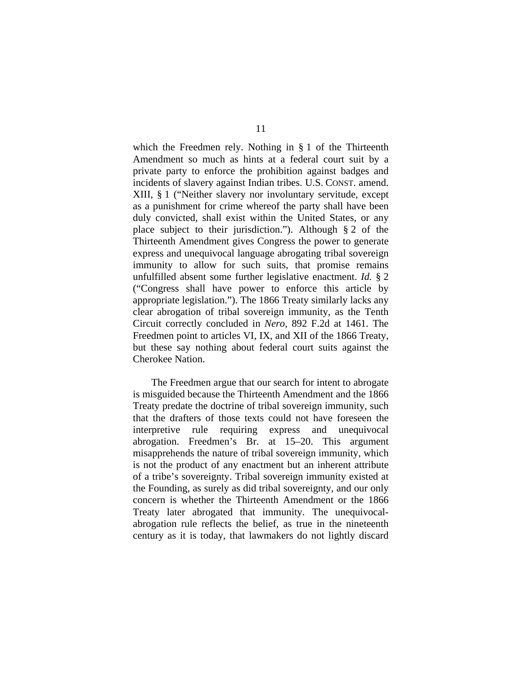which the Freedmen rely. Nothing in § 1 of the Thirteenth Amendment so much as hints at a federal court suit by a private party to enforce the prohibition against badges and incidents of slavery against Indian tribes. U.S. CONST. amend. XIII, § 1 ("Neither slavery nor involuntary servitude, except as a punishment for crime whereof the party shall have been duly convicted, shall exist within the United States, or any place subject to their jurisdiction."). Although § 2 of the Thirteenth Amendment gives Congress the power to generate express and unequivocal language abrogating tribal sovereign immunity to allow for such suits, that promise remains unfulfilled absent some further legislative enactment. *Id.* § 2 ("Congress shall have power to enforce this article by appropriate legislation."). The 1866 Treaty similarly lacks any clear abrogation of tribal sovereign immunity, as the Tenth Circuit correctly concluded in *Nero*, 892 F.2d at 1461. The Freedmen point to articles VI, IX, and XII of the 1866 Treaty, but these say nothing about federal court suits against the Cherokee Nation.

The Freedmen argue that our search for intent to abrogate is misguided because the Thirteenth Amendment and the 1866 Treaty predate the doctrine of tribal sovereign immunity, such that the drafters of those texts could not have foreseen the interpretive rule requiring express and unequivocal abrogation. Freedmen's Br. at 15–20. This argument misapprehends the nature of tribal sovereign immunity, which is not the product of any enactment but an inherent attribute of a tribe's sovereignty. Tribal sovereign immunity existed at the Founding, as surely as did tribal sovereignty, and our only concern is whether the Thirteenth Amendment or the 1866 Treaty later abrogated that immunity. The unequivocalabrogation rule reflects the belief, as true in the nineteenth century as it is today, that lawmakers do not lightly discard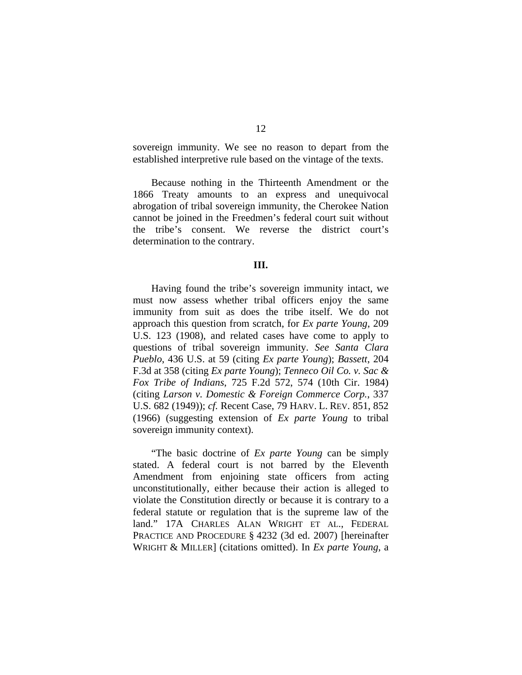sovereign immunity. We see no reason to depart from the established interpretive rule based on the vintage of the texts.

Because nothing in the Thirteenth Amendment or the 1866 Treaty amounts to an express and unequivocal abrogation of tribal sovereign immunity, the Cherokee Nation cannot be joined in the Freedmen's federal court suit without the tribe's consent. We reverse the district court's determination to the contrary.

#### **III.**

Having found the tribe's sovereign immunity intact, we must now assess whether tribal officers enjoy the same immunity from suit as does the tribe itself. We do not approach this question from scratch, for *Ex parte Young*, 209 U.S. 123 (1908), and related cases have come to apply to questions of tribal sovereign immunity. *See Santa Clara Pueblo*, 436 U.S. at 59 (citing *Ex parte Young*); *Bassett*, 204 F.3d at 358 (citing *Ex parte Young*); *Tenneco Oil Co. v. Sac & Fox Tribe of Indians*, 725 F.2d 572, 574 (10th Cir. 1984) (citing *Larson v. Domestic & Foreign Commerce Corp.*, 337 U.S. 682 (1949)); *cf.* Recent Case, 79 HARV. L. REV. 851, 852 (1966) (suggesting extension of *Ex parte Young* to tribal sovereign immunity context).

"The basic doctrine of *Ex parte Young* can be simply stated. A federal court is not barred by the Eleventh Amendment from enjoining state officers from acting unconstitutionally, either because their action is alleged to violate the Constitution directly or because it is contrary to a federal statute or regulation that is the supreme law of the land." 17A CHARLES ALAN WRIGHT ET AL., FEDERAL PRACTICE AND PROCEDURE § 4232 (3d ed. 2007) [hereinafter WRIGHT & MILLER] (citations omitted). In *Ex parte Young*, a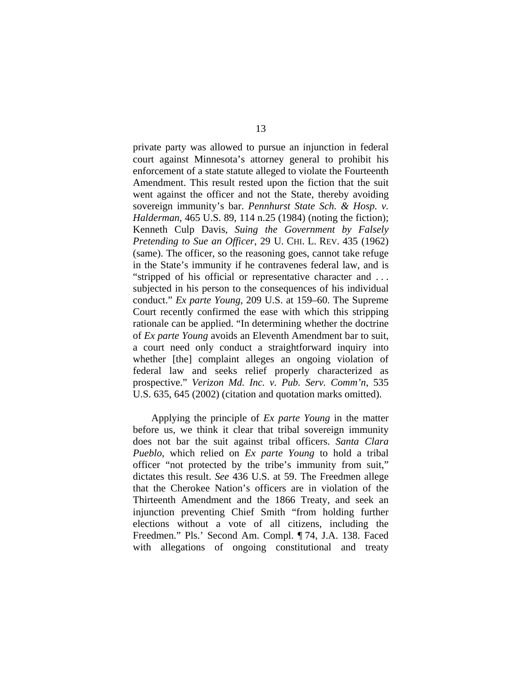private party was allowed to pursue an injunction in federal court against Minnesota's attorney general to prohibit his enforcement of a state statute alleged to violate the Fourteenth Amendment. This result rested upon the fiction that the suit went against the officer and not the State, thereby avoiding sovereign immunity's bar. *Pennhurst State Sch. & Hosp. v. Halderman*, 465 U.S. 89, 114 n.25 (1984) (noting the fiction); Kenneth Culp Davis, *Suing the Government by Falsely Pretending to Sue an Officer*, 29 U. CHI. L. REV. 435 (1962) (same). The officer, so the reasoning goes, cannot take refuge in the State's immunity if he contravenes federal law, and is "stripped of his official or representative character and . . . subjected in his person to the consequences of his individual conduct." *Ex parte Young*, 209 U.S. at 159–60. The Supreme Court recently confirmed the ease with which this stripping rationale can be applied. "In determining whether the doctrine of *Ex parte Young* avoids an Eleventh Amendment bar to suit, a court need only conduct a straightforward inquiry into whether [the] complaint alleges an ongoing violation of federal law and seeks relief properly characterized as prospective." *Verizon Md. Inc. v. Pub. Serv. Comm'n*, 535 U.S. 635, 645 (2002) (citation and quotation marks omitted).

Applying the principle of *Ex parte Young* in the matter before us, we think it clear that tribal sovereign immunity does not bar the suit against tribal officers. *Santa Clara Pueblo*, which relied on *Ex parte Young* to hold a tribal officer "not protected by the tribe's immunity from suit," dictates this result. *See* 436 U.S. at 59. The Freedmen allege that the Cherokee Nation's officers are in violation of the Thirteenth Amendment and the 1866 Treaty, and seek an injunction preventing Chief Smith "from holding further elections without a vote of all citizens, including the Freedmen." Pls.' Second Am. Compl. ¶ 74, J.A. 138. Faced with allegations of ongoing constitutional and treaty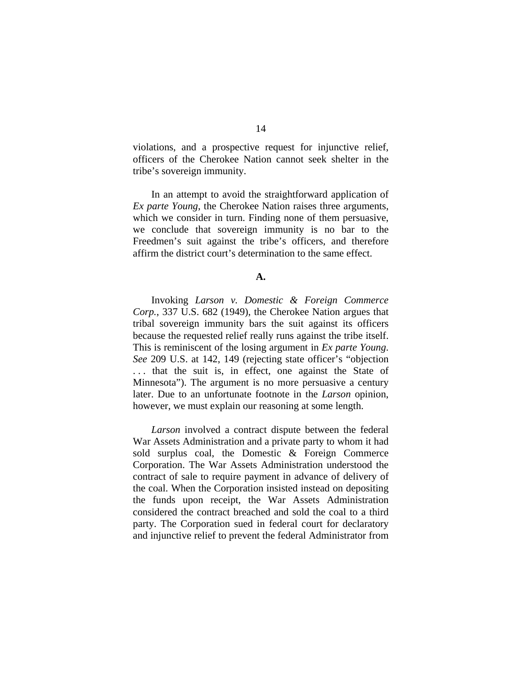violations, and a prospective request for injunctive relief, officers of the Cherokee Nation cannot seek shelter in the tribe's sovereign immunity.

In an attempt to avoid the straightforward application of *Ex parte Young*, the Cherokee Nation raises three arguments, which we consider in turn. Finding none of them persuasive, we conclude that sovereign immunity is no bar to the Freedmen's suit against the tribe's officers, and therefore affirm the district court's determination to the same effect.

## **A.**

Invoking *Larson v. Domestic & Foreign Commerce Corp.*, 337 U.S. 682 (1949), the Cherokee Nation argues that tribal sovereign immunity bars the suit against its officers because the requested relief really runs against the tribe itself. This is reminiscent of the losing argument in *Ex parte Young*. *See* 209 U.S. at 142, 149 (rejecting state officer's "objection . . . that the suit is, in effect, one against the State of Minnesota"). The argument is no more persuasive a century later. Due to an unfortunate footnote in the *Larson* opinion, however, we must explain our reasoning at some length.

*Larson* involved a contract dispute between the federal War Assets Administration and a private party to whom it had sold surplus coal, the Domestic & Foreign Commerce Corporation. The War Assets Administration understood the contract of sale to require payment in advance of delivery of the coal. When the Corporation insisted instead on depositing the funds upon receipt, the War Assets Administration considered the contract breached and sold the coal to a third party. The Corporation sued in federal court for declaratory and injunctive relief to prevent the federal Administrator from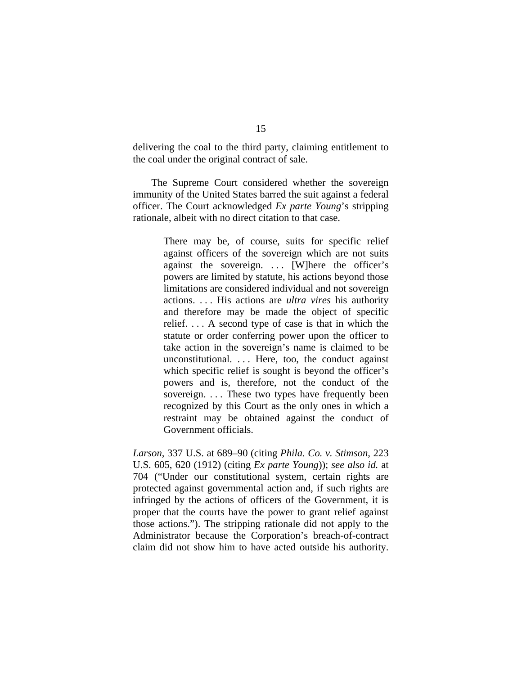delivering the coal to the third party, claiming entitlement to the coal under the original contract of sale.

The Supreme Court considered whether the sovereign immunity of the United States barred the suit against a federal officer. The Court acknowledged *Ex parte Young*'s stripping rationale, albeit with no direct citation to that case.

> There may be, of course, suits for specific relief against officers of the sovereign which are not suits against the sovereign.  $\ldots$  [W]here the officer's powers are limited by statute, his actions beyond those limitations are considered individual and not sovereign actions. . . . His actions are *ultra vires* his authority and therefore may be made the object of specific relief. . . . A second type of case is that in which the statute or order conferring power upon the officer to take action in the sovereign's name is claimed to be unconstitutional. . . . Here, too, the conduct against which specific relief is sought is beyond the officer's powers and is, therefore, not the conduct of the sovereign. . . . These two types have frequently been recognized by this Court as the only ones in which a restraint may be obtained against the conduct of Government officials.

*Larson*, 337 U.S. at 689–90 (citing *Phila. Co. v. Stimson*, 223 U.S. 605, 620 (1912) (citing *Ex parte Young*)); *see also id.* at 704 ("Under our constitutional system, certain rights are protected against governmental action and, if such rights are infringed by the actions of officers of the Government, it is proper that the courts have the power to grant relief against those actions."). The stripping rationale did not apply to the Administrator because the Corporation's breach-of-contract claim did not show him to have acted outside his authority.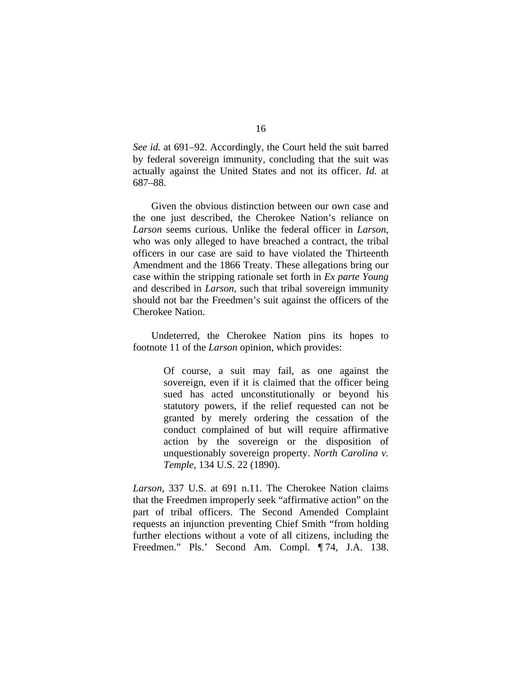*See id.* at 691–92. Accordingly, the Court held the suit barred by federal sovereign immunity, concluding that the suit was actually against the United States and not its officer. *Id.* at 687–88.

Given the obvious distinction between our own case and the one just described, the Cherokee Nation's reliance on *Larson* seems curious. Unlike the federal officer in *Larson*, who was only alleged to have breached a contract, the tribal officers in our case are said to have violated the Thirteenth Amendment and the 1866 Treaty. These allegations bring our case within the stripping rationale set forth in *Ex parte Young* and described in *Larson*, such that tribal sovereign immunity should not bar the Freedmen's suit against the officers of the Cherokee Nation.

Undeterred, the Cherokee Nation pins its hopes to footnote 11 of the *Larson* opinion, which provides:

> Of course, a suit may fail, as one against the sovereign, even if it is claimed that the officer being sued has acted unconstitutionally or beyond his statutory powers, if the relief requested can not be granted by merely ordering the cessation of the conduct complained of but will require affirmative action by the sovereign or the disposition of unquestionably sovereign property. *North Carolina v. Temple*, 134 U.S. 22 (1890).

*Larson*, 337 U.S. at 691 n.11. The Cherokee Nation claims that the Freedmen improperly seek "affirmative action" on the part of tribal officers. The Second Amended Complaint requests an injunction preventing Chief Smith "from holding further elections without a vote of all citizens, including the Freedmen." Pls.' Second Am. Compl. ¶ 74, J.A. 138.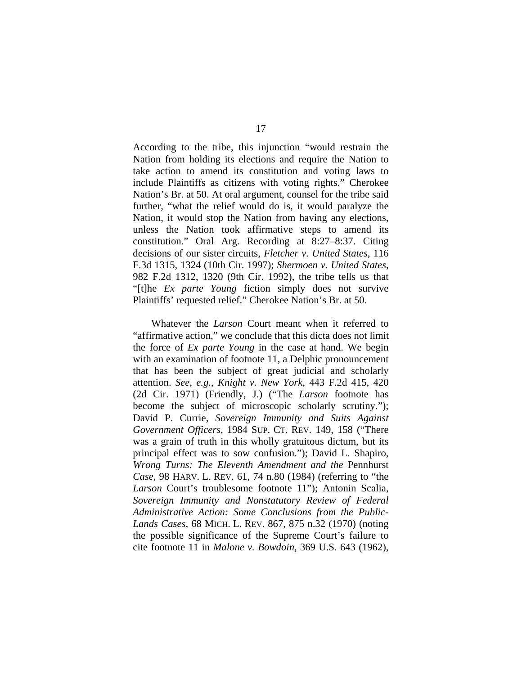According to the tribe, this injunction "would restrain the Nation from holding its elections and require the Nation to take action to amend its constitution and voting laws to include Plaintiffs as citizens with voting rights." Cherokee Nation's Br. at 50. At oral argument, counsel for the tribe said further, "what the relief would do is, it would paralyze the Nation, it would stop the Nation from having any elections, unless the Nation took affirmative steps to amend its constitution." Oral Arg. Recording at 8:27–8:37. Citing decisions of our sister circuits, *Fletcher v. United States*, 116 F.3d 1315, 1324 (10th Cir. 1997); *Shermoen v. United States*, 982 F.2d 1312, 1320 (9th Cir. 1992), the tribe tells us that "[t]he *Ex parte Young* fiction simply does not survive Plaintiffs' requested relief." Cherokee Nation's Br. at 50.

Whatever the *Larson* Court meant when it referred to "affirmative action," we conclude that this dicta does not limit the force of *Ex parte Young* in the case at hand. We begin with an examination of footnote 11, a Delphic pronouncement that has been the subject of great judicial and scholarly attention. *See, e.g.*, *Knight v. New York*, 443 F.2d 415, 420 (2d Cir. 1971) (Friendly, J.) ("The *Larson* footnote has become the subject of microscopic scholarly scrutiny."); David P. Currie, *Sovereign Immunity and Suits Against Government Officers*, 1984 SUP. CT. REV. 149, 158 ("There was a grain of truth in this wholly gratuitous dictum, but its principal effect was to sow confusion."); David L. Shapiro, *Wrong Turns: The Eleventh Amendment and the* Pennhurst *Case*, 98 HARV. L. REV. 61, 74 n.80 (1984) (referring to "the *Larson* Court's troublesome footnote 11"); Antonin Scalia, *Sovereign Immunity and Nonstatutory Review of Federal Administrative Action: Some Conclusions from the Public-Lands Cases*, 68 MICH. L. REV. 867, 875 n.32 (1970) (noting the possible significance of the Supreme Court's failure to cite footnote 11 in *Malone v. Bowdoin*, 369 U.S. 643 (1962),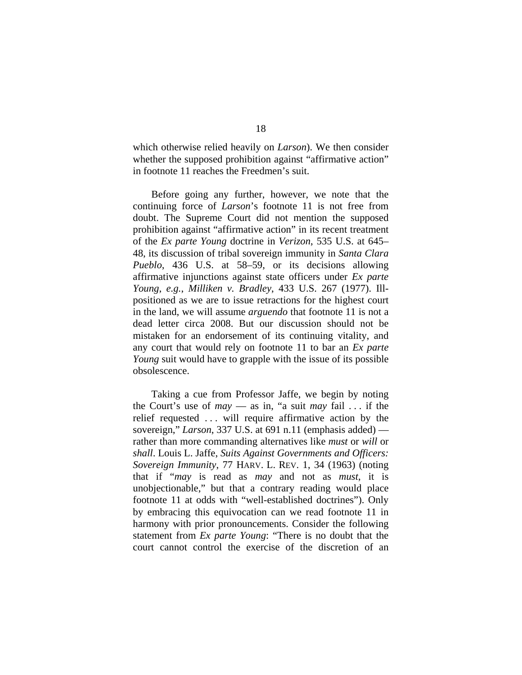which otherwise relied heavily on *Larson*). We then consider whether the supposed prohibition against "affirmative action" in footnote 11 reaches the Freedmen's suit.

Before going any further, however, we note that the continuing force of *Larson*'s footnote 11 is not free from doubt. The Supreme Court did not mention the supposed prohibition against "affirmative action" in its recent treatment of the *Ex parte Young* doctrine in *Verizon*, 535 U.S. at 645– 48, its discussion of tribal sovereign immunity in *Santa Clara Pueblo*, 436 U.S. at 58–59, or its decisions allowing affirmative injunctions against state officers under *Ex parte Young*, *e.g.*, *Milliken v. Bradley*, 433 U.S. 267 (1977). Illpositioned as we are to issue retractions for the highest court in the land, we will assume *arguendo* that footnote 11 is not a dead letter circa 2008. But our discussion should not be mistaken for an endorsement of its continuing vitality, and any court that would rely on footnote 11 to bar an *Ex parte Young* suit would have to grapple with the issue of its possible obsolescence.

Taking a cue from Professor Jaffe, we begin by noting the Court's use of *may* — as in, "a suit *may* fail . . . if the relief requested . . . will require affirmative action by the sovereign," *Larson*, 337 U.S. at 691 n.11 (emphasis added) rather than more commanding alternatives like *must* or *will* or *shall*. Louis L. Jaffe, *Suits Against Governments and Officers: Sovereign Immunity*, 77 HARV. L. REV. 1, 34 (1963) (noting that if "*may* is read as *may* and not as *must*, it is unobjectionable," but that a contrary reading would place footnote 11 at odds with "well-established doctrines"). Only by embracing this equivocation can we read footnote 11 in harmony with prior pronouncements. Consider the following statement from *Ex parte Young*: "There is no doubt that the court cannot control the exercise of the discretion of an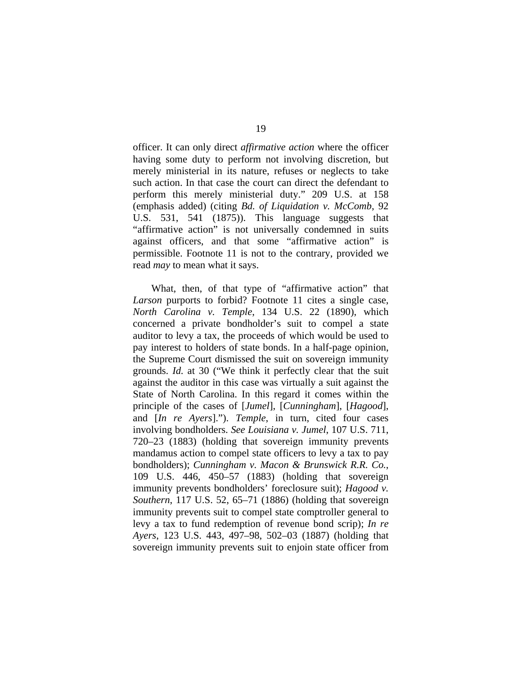officer. It can only direct *affirmative action* where the officer having some duty to perform not involving discretion, but merely ministerial in its nature, refuses or neglects to take such action. In that case the court can direct the defendant to perform this merely ministerial duty." 209 U.S. at 158 (emphasis added) (citing *Bd. of Liquidation v. McComb*, 92 U.S. 531, 541 (1875)). This language suggests that "affirmative action" is not universally condemned in suits against officers, and that some "affirmative action" is permissible. Footnote 11 is not to the contrary, provided we read *may* to mean what it says.

What, then, of that type of "affirmative action" that *Larson* purports to forbid? Footnote 11 cites a single case, *North Carolina v. Temple*, 134 U.S. 22 (1890), which concerned a private bondholder's suit to compel a state auditor to levy a tax, the proceeds of which would be used to pay interest to holders of state bonds. In a half-page opinion, the Supreme Court dismissed the suit on sovereign immunity grounds. *Id.* at 30 ("We think it perfectly clear that the suit against the auditor in this case was virtually a suit against the State of North Carolina. In this regard it comes within the principle of the cases of [*Jumel*], [*Cunningham*], [*Hagood*], and [*In re Ayers*]."). *Temple*, in turn, cited four cases involving bondholders. *See Louisiana v. Jumel*, 107 U.S. 711, 720–23 (1883) (holding that sovereign immunity prevents mandamus action to compel state officers to levy a tax to pay bondholders); *Cunningham v. Macon & Brunswick R.R. Co.*, 109 U.S. 446, 450–57 (1883) (holding that sovereign immunity prevents bondholders' foreclosure suit); *Hagood v. Southern*, 117 U.S. 52, 65–71 (1886) (holding that sovereign immunity prevents suit to compel state comptroller general to levy a tax to fund redemption of revenue bond scrip); *In re Ayers*, 123 U.S. 443, 497–98, 502–03 (1887) (holding that sovereign immunity prevents suit to enjoin state officer from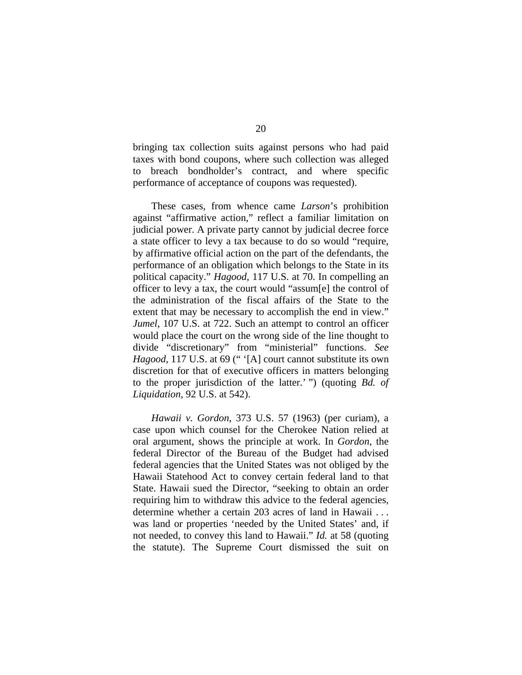bringing tax collection suits against persons who had paid taxes with bond coupons, where such collection was alleged to breach bondholder's contract, and where specific performance of acceptance of coupons was requested).

These cases, from whence came *Larson*'s prohibition against "affirmative action," reflect a familiar limitation on judicial power. A private party cannot by judicial decree force a state officer to levy a tax because to do so would "require, by affirmative official action on the part of the defendants, the performance of an obligation which belongs to the State in its political capacity." *Hagood*, 117 U.S. at 70. In compelling an officer to levy a tax, the court would "assum[e] the control of the administration of the fiscal affairs of the State to the extent that may be necessary to accomplish the end in view." *Jumel*, 107 U.S. at 722. Such an attempt to control an officer would place the court on the wrong side of the line thought to divide "discretionary" from "ministerial" functions. *See Hagood*, 117 U.S. at 69 (" '[A] court cannot substitute its own discretion for that of executive officers in matters belonging to the proper jurisdiction of the latter.' ") (quoting *Bd. of Liquidation*, 92 U.S. at 542).

*Hawaii v. Gordon*, 373 U.S. 57 (1963) (per curiam), a case upon which counsel for the Cherokee Nation relied at oral argument, shows the principle at work. In *Gordon*, the federal Director of the Bureau of the Budget had advised federal agencies that the United States was not obliged by the Hawaii Statehood Act to convey certain federal land to that State. Hawaii sued the Director, "seeking to obtain an order requiring him to withdraw this advice to the federal agencies, determine whether a certain 203 acres of land in Hawaii . . . was land or properties 'needed by the United States' and, if not needed, to convey this land to Hawaii." *Id.* at 58 (quoting the statute). The Supreme Court dismissed the suit on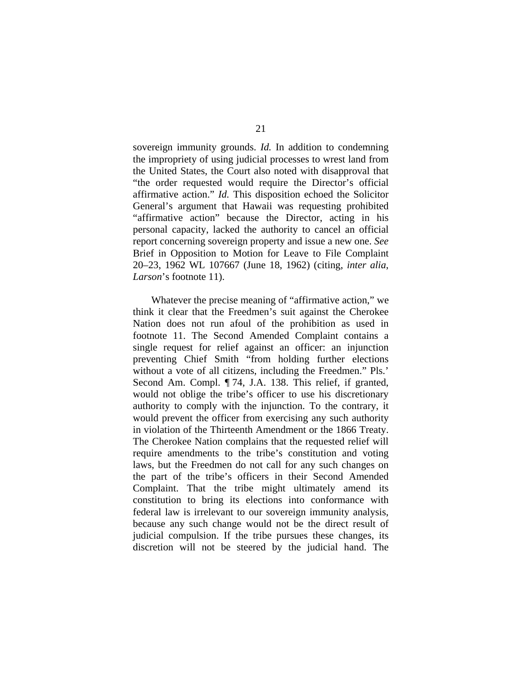sovereign immunity grounds. *Id.* In addition to condemning the impropriety of using judicial processes to wrest land from the United States, the Court also noted with disapproval that "the order requested would require the Director's official affirmative action." *Id.* This disposition echoed the Solicitor General's argument that Hawaii was requesting prohibited "affirmative action" because the Director, acting in his personal capacity, lacked the authority to cancel an official report concerning sovereign property and issue a new one. *See*  Brief in Opposition to Motion for Leave to File Complaint 20–23, 1962 WL 107667 (June 18, 1962) (citing, *inter alia*, *Larson*'s footnote 11).

Whatever the precise meaning of "affirmative action," we think it clear that the Freedmen's suit against the Cherokee Nation does not run afoul of the prohibition as used in footnote 11. The Second Amended Complaint contains a single request for relief against an officer: an injunction preventing Chief Smith "from holding further elections without a vote of all citizens, including the Freedmen." Pls.' Second Am. Compl. ¶ 74, J.A. 138. This relief, if granted, would not oblige the tribe's officer to use his discretionary authority to comply with the injunction. To the contrary, it would prevent the officer from exercising any such authority in violation of the Thirteenth Amendment or the 1866 Treaty. The Cherokee Nation complains that the requested relief will require amendments to the tribe's constitution and voting laws, but the Freedmen do not call for any such changes on the part of the tribe's officers in their Second Amended Complaint. That the tribe might ultimately amend its constitution to bring its elections into conformance with federal law is irrelevant to our sovereign immunity analysis, because any such change would not be the direct result of judicial compulsion. If the tribe pursues these changes, its discretion will not be steered by the judicial hand. The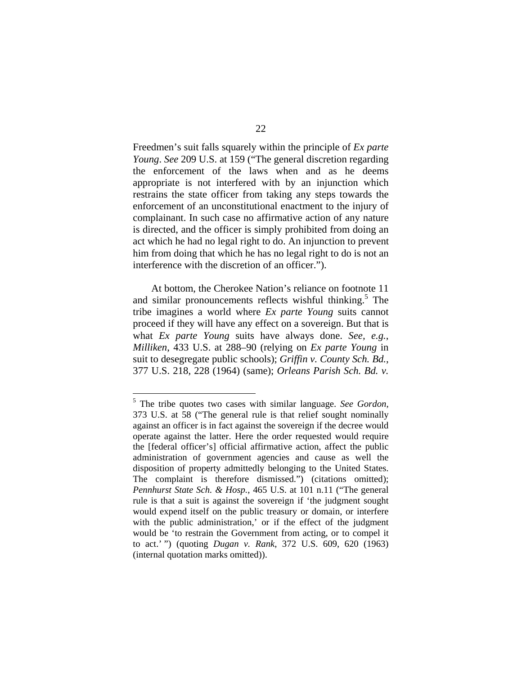Freedmen's suit falls squarely within the principle of *Ex parte Young*. *See* 209 U.S. at 159 ("The general discretion regarding the enforcement of the laws when and as he deems appropriate is not interfered with by an injunction which restrains the state officer from taking any steps towards the enforcement of an unconstitutional enactment to the injury of complainant. In such case no affirmative action of any nature is directed, and the officer is simply prohibited from doing an act which he had no legal right to do. An injunction to prevent him from doing that which he has no legal right to do is not an interference with the discretion of an officer.").

At bottom, the Cherokee Nation's reliance on footnote 11 and similar pronouncements reflects wishful thinking.<sup>5</sup> The tribe imagines a world where *Ex parte Young* suits cannot proceed if they will have any effect on a sovereign. But that is what *Ex parte Young* suits have always done. *See, e.g.*, *Milliken*, 433 U.S. at 288–90 (relying on *Ex parte Young* in suit to desegregate public schools); *Griffin v. County Sch. Bd.*, 377 U.S. 218, 228 (1964) (same); *Orleans Parish Sch. Bd. v.* 

1

<sup>5</sup> The tribe quotes two cases with similar language. *See Gordon*, 373 U.S. at 58 ("The general rule is that relief sought nominally against an officer is in fact against the sovereign if the decree would operate against the latter. Here the order requested would require the [federal officer's] official affirmative action, affect the public administration of government agencies and cause as well the disposition of property admittedly belonging to the United States. The complaint is therefore dismissed.") (citations omitted); *Pennhurst State Sch. & Hosp.*, 465 U.S. at 101 n.11 ("The general rule is that a suit is against the sovereign if 'the judgment sought would expend itself on the public treasury or domain, or interfere with the public administration,' or if the effect of the judgment would be 'to restrain the Government from acting, or to compel it to act.' ") (quoting *Dugan v. Rank*, 372 U.S. 609, 620 (1963) (internal quotation marks omitted)).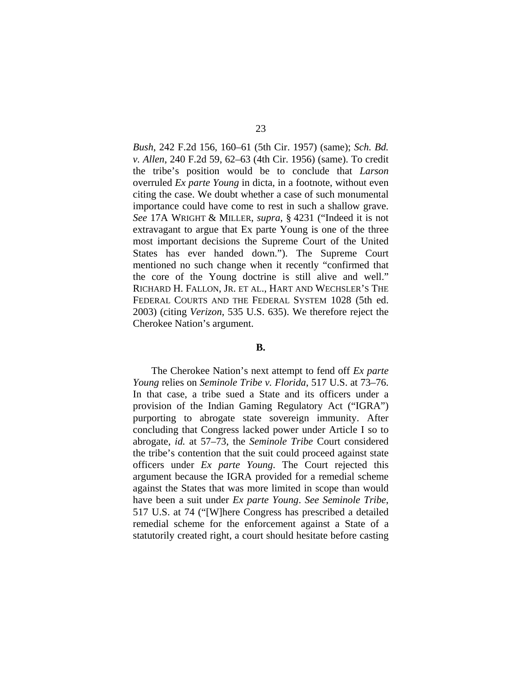*Bush*, 242 F.2d 156, 160–61 (5th Cir. 1957) (same); *Sch. Bd. v. Allen*, 240 F.2d 59, 62–63 (4th Cir. 1956) (same). To credit the tribe's position would be to conclude that *Larson* overruled *Ex parte Young* in dicta, in a footnote, without even citing the case. We doubt whether a case of such monumental importance could have come to rest in such a shallow grave. *See* 17A WRIGHT & MILLER, *supra*, § 4231 ("Indeed it is not extravagant to argue that Ex parte Young is one of the three most important decisions the Supreme Court of the United States has ever handed down."). The Supreme Court mentioned no such change when it recently "confirmed that the core of the Young doctrine is still alive and well." RICHARD H. FALLON, JR. ET AL., HART AND WECHSLER'S THE FEDERAL COURTS AND THE FEDERAL SYSTEM 1028 (5th ed. 2003) (citing *Verizon*, 535 U.S. 635). We therefore reject the Cherokee Nation's argument.

#### **B.**

The Cherokee Nation's next attempt to fend off *Ex parte Young* relies on *Seminole Tribe v. Florida*, 517 U.S. at 73–76. In that case, a tribe sued a State and its officers under a provision of the Indian Gaming Regulatory Act ("IGRA") purporting to abrogate state sovereign immunity. After concluding that Congress lacked power under Article I so to abrogate, *id.* at 57–73, the *Seminole Tribe* Court considered the tribe's contention that the suit could proceed against state officers under *Ex parte Young*. The Court rejected this argument because the IGRA provided for a remedial scheme against the States that was more limited in scope than would have been a suit under *Ex parte Young*. *See Seminole Tribe*, 517 U.S. at 74 ("[W]here Congress has prescribed a detailed remedial scheme for the enforcement against a State of a statutorily created right, a court should hesitate before casting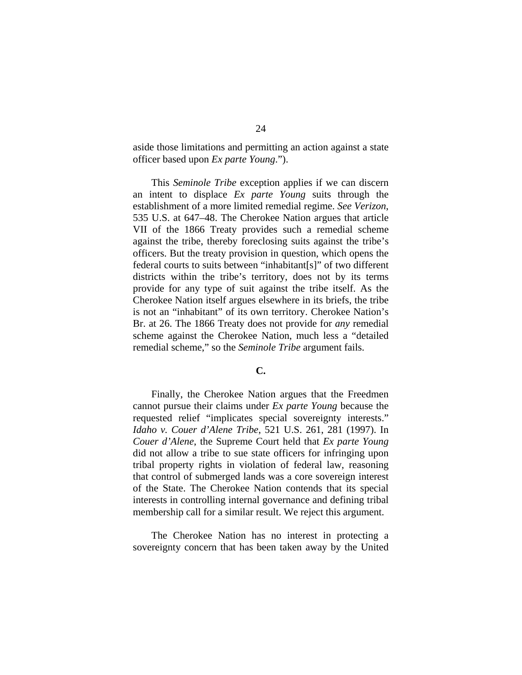aside those limitations and permitting an action against a state officer based upon *Ex parte Young*.").

This *Seminole Tribe* exception applies if we can discern an intent to displace *Ex parte Young* suits through the establishment of a more limited remedial regime. *See Verizon*, 535 U.S. at 647–48. The Cherokee Nation argues that article VII of the 1866 Treaty provides such a remedial scheme against the tribe, thereby foreclosing suits against the tribe's officers. But the treaty provision in question, which opens the federal courts to suits between "inhabitant[s]" of two different districts within the tribe's territory, does not by its terms provide for any type of suit against the tribe itself. As the Cherokee Nation itself argues elsewhere in its briefs, the tribe is not an "inhabitant" of its own territory. Cherokee Nation's Br. at 26. The 1866 Treaty does not provide for *any* remedial scheme against the Cherokee Nation, much less a "detailed remedial scheme," so the *Seminole Tribe* argument fails.

# **C.**

Finally, the Cherokee Nation argues that the Freedmen cannot pursue their claims under *Ex parte Young* because the requested relief "implicates special sovereignty interests." *Idaho v. Couer d'Alene Tribe*, 521 U.S. 261, 281 (1997). In *Couer d'Alene*, the Supreme Court held that *Ex parte Young* did not allow a tribe to sue state officers for infringing upon tribal property rights in violation of federal law, reasoning that control of submerged lands was a core sovereign interest of the State. The Cherokee Nation contends that its special interests in controlling internal governance and defining tribal membership call for a similar result. We reject this argument.

The Cherokee Nation has no interest in protecting a sovereignty concern that has been taken away by the United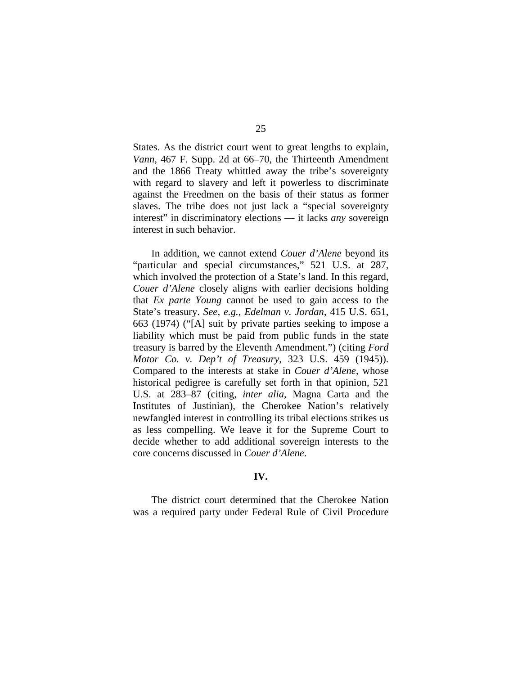States. As the district court went to great lengths to explain, *Vann*, 467 F. Supp. 2d at 66–70, the Thirteenth Amendment and the 1866 Treaty whittled away the tribe's sovereignty with regard to slavery and left it powerless to discriminate against the Freedmen on the basis of their status as former slaves. The tribe does not just lack a "special sovereignty interest" in discriminatory elections — it lacks *any* sovereign interest in such behavior.

In addition, we cannot extend *Couer d'Alene* beyond its "particular and special circumstances," 521 U.S. at 287, which involved the protection of a State's land. In this regard, *Couer d'Alene* closely aligns with earlier decisions holding that *Ex parte Young* cannot be used to gain access to the State's treasury. *See, e.g.*, *Edelman v. Jordan*, 415 U.S. 651, 663 (1974) ("[A] suit by private parties seeking to impose a liability which must be paid from public funds in the state treasury is barred by the Eleventh Amendment.") (citing *Ford Motor Co. v. Dep't of Treasury*, 323 U.S. 459 (1945)). Compared to the interests at stake in *Couer d'Alene*, whose historical pedigree is carefully set forth in that opinion, 521 U.S. at 283–87 (citing, *inter alia*, Magna Carta and the Institutes of Justinian), the Cherokee Nation's relatively newfangled interest in controlling its tribal elections strikes us as less compelling. We leave it for the Supreme Court to decide whether to add additional sovereign interests to the core concerns discussed in *Couer d'Alene*.

## **IV.**

The district court determined that the Cherokee Nation was a required party under Federal Rule of Civil Procedure